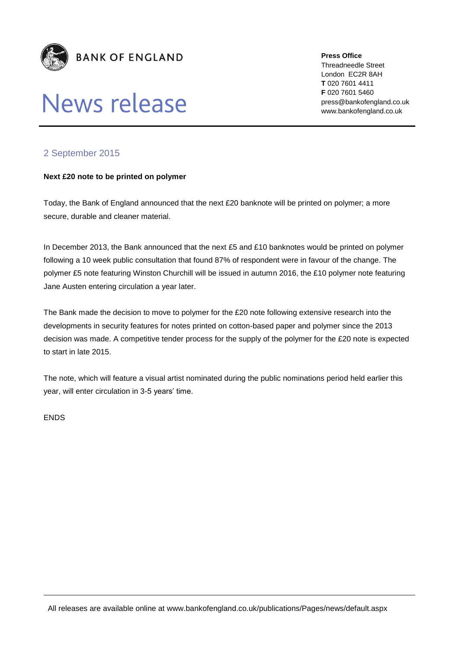

## News release

**Press Office** Threadneedle Street London EC2R 8AH **T** 020 7601 4411 **F** 020 7601 5460 press@bankofengland.co.uk www.bankofengland.co.uk

## 2 September 2015

## **Next £20 note to be printed on polymer**

Today, the Bank of England announced that the next £20 banknote will be printed on polymer; a more secure, durable and cleaner material.

In December 2013, the Bank announced that the next £5 and £10 banknotes would be printed on polymer following a 10 week public consultation that found 87% of respondent were in favour of the change. The polymer £5 note featuring Winston Churchill will be issued in autumn 2016, the £10 polymer note featuring Jane Austen entering circulation a year later.

The Bank made the decision to move to polymer for the £20 note following extensive research into the developments in security features for notes printed on cotton-based paper and polymer since the 2013 decision was made. A competitive tender process for the supply of the polymer for the £20 note is expected to start in late 2015.

The note, which will feature a visual artist nominated during the public nominations period held earlier this year, will enter circulation in 3-5 years' time.

ENDS